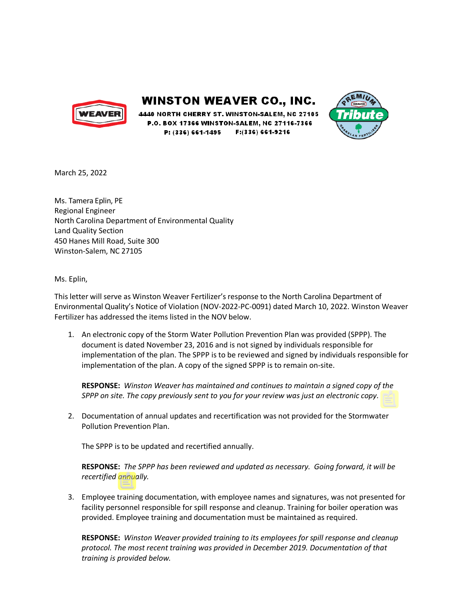

**WINSTON WEAVER CO., INC.** 

4440 NORTH CHERRY ST. WINSTON-SALEM. NC 27105 P.O. BOX 17366 WINSTON-SALEM, NC 27116-7366 P: (336) 661-1495 F:(336) 661-9216



March 25, 2022

Ms. Tamera Eplin, PE Regional Engineer North Carolina Department of Environmental Quality Land Quality Section 450 Hanes Mill Road, Suite 300 Winston-Salem, NC 27105

Ms. Eplin,

This letter will serve as Winston Weaver Fertilizer's response to the North Carolina Department of Environmental Quality's Notice of Violation (NOV-2022-PC-0091) dated March 10, 2022. Winston Weaver Fertilizer has addressed the items listed in the NOV below.

1. An electronic copy of the Storm Water Pollution Prevention Plan was provided (SPPP). The document is dated November 23, 2016 and is not signed by individuals responsible for implementation of the plan. The SPPP is to be reviewed and signed by individuals responsible for implementation of the plan. A copy of the signed SPPP is to remain on-site.

**RESPONSE:** *Winston Weaver has maintained and continues to maintain a signed copy of the SPPP on site. The copy previously sent to you for your review was just an electronic copy.*

2. Documentation of annual updates and recertification was not provided for the Stormwater Pollution Prevention Plan.

The SPPP is to be updated and recertified annually.

**RESPONSE:** *The SPPP has been reviewed and updated as necessary. Going forward, it will be recertified annually.*

3. Employee training documentation, with employee names and signatures, was not presented for facility personnel responsible for spill response and cleanup. Training for boiler operation was provided. Employee training and documentation must be maintained as required.

**RESPONSE:** *Winston Weaver provided training to its employees for spill response and cleanup protocol. The most recent training was provided in December 2019. Documentation of that training is provided below.*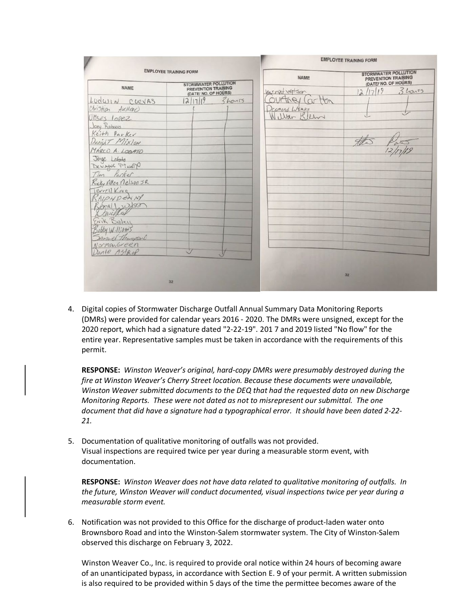|                                             |               | <b>EMPLOYEE TRAINING FORM</b>                                     |  |
|---------------------------------------------|---------------|-------------------------------------------------------------------|--|
| <b>EMPLOYEE TRAINING FORM</b>               |               | <b>STORMWATER POLLUTION</b><br><b>NAME</b><br>PREVENTION TRAINING |  |
| PREVENTION TRAINING<br>(DATE/ NO. OF HOURS) | Verngd Watson | (DATE/ NO. OF HOURS)<br>$3$ hours<br>2/17/19                      |  |
|                                             |               |                                                                   |  |
|                                             | DESMOND WEAKS |                                                                   |  |
|                                             |               |                                                                   |  |
|                                             |               |                                                                   |  |
|                                             |               |                                                                   |  |
|                                             |               |                                                                   |  |
|                                             |               |                                                                   |  |
|                                             |               |                                                                   |  |
|                                             |               |                                                                   |  |
|                                             |               |                                                                   |  |
|                                             |               |                                                                   |  |
|                                             |               |                                                                   |  |
|                                             |               |                                                                   |  |
|                                             |               |                                                                   |  |
|                                             |               |                                                                   |  |
|                                             |               |                                                                   |  |
|                                             |               |                                                                   |  |
|                                             |               |                                                                   |  |
|                                             |               |                                                                   |  |
|                                             | 12/17/19      | STORMWATER POLLUTION<br>outhey (arton<br>3hons<br>Willar Blern    |  |

4. Digital copies of Stormwater Discharge Outfall Annual Summary Data Monitoring Reports (DMRs) were provided for calendar years 2016 - 2020. The DMRs were unsigned, except for the 2020 report, which had a signature dated "2-22-19". 201 7 and 2019 listed "No flow" for the entire year. Representative samples must be taken in accordance with the requirements of this permit.

**RESPONSE:** *Winston Weaver's original, hard-copy DMRs were presumably destroyed during the fire at Winston Weaver's Cherry Street location. Because these documents were unavailable, Winston Weaver submitted documents to the DEQ that had the requested data on new Discharge Monitoring Reports. These were not dated as not to misrepresent our submittal. The one document that did have a signature had a typographical error. It should have been dated 2-22- 21.*

5. Documentation of qualitative monitoring of outfalls was not provided. Visual inspections are required twice per year during a measurable storm event, with documentation.

**RESPONSE:** *Winston Weaver does not have data related to qualitative monitoring of outfalls. In the future, Winston Weaver will conduct documented, visual inspections twice per year during a measurable storm event.*

6. Notification was not provided to this Office for the discharge of product-laden water onto Brownsboro Road and into the Winston-Salem stormwater system. The City of Winston-Salem observed this discharge on February 3, 2022.

Winston Weaver Co., Inc. is required to provide oral notice within 24 hours of becoming aware of an unanticipated bypass, in accordance with Section E. 9 of your permit. A written submission is also required to be provided within 5 days of the time the permittee becomes aware of the